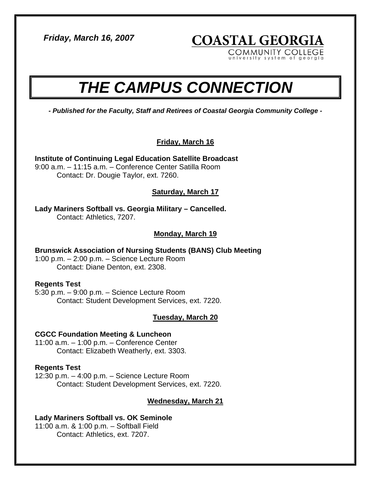*Friday, March 16, 2007* 

**COASTAL GEORGIA** COMMUNITY COLLEGE

system of georg

# *THE CAMPUS CONNECTION*

*- Published for the Faculty, Staff and Retirees of Coastal Georgia Community College -* 

# **Friday, March 16**

**Institute of Continuing Legal Education Satellite Broadcast**  9:00 a.m. – 11:15 a.m. – Conference Center Satilla Room Contact: Dr. Dougie Taylor, ext. 7260.

**Saturday, March 17**

**Lady Mariners Softball vs. Georgia Military – Cancelled.**  Contact: Athletics, 7207.

**Monday, March 19**

**Brunswick Association of Nursing Students (BANS) Club Meeting**  1:00 p.m. – 2:00 p.m. – Science Lecture Room Contact: Diane Denton, ext. 2308.

## **Regents Test**

5:30 p.m. – 9:00 p.m. – Science Lecture Room Contact: Student Development Services, ext. 7220.

## **Tuesday, March 20**

## **CGCC Foundation Meeting & Luncheon**

11:00 a.m. – 1:00 p.m. – Conference Center Contact: Elizabeth Weatherly, ext. 3303.

## **Regents Test**

12:30 p.m. – 4:00 p.m. – Science Lecture Room Contact: Student Development Services, ext. 7220.

## **Wednesday, March 21**

## **Lady Mariners Softball vs. OK Seminole**

11:00 a.m. & 1:00 p.m. – Softball Field Contact: Athletics, ext. 7207.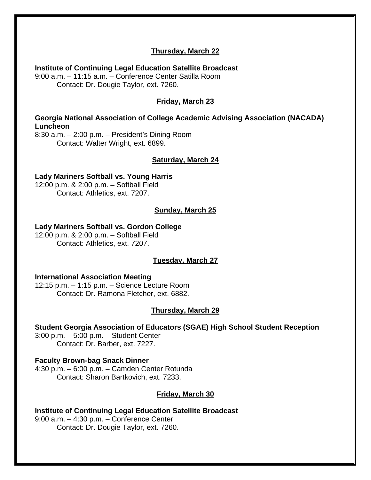# **Thursday, March 22**

**Institute of Continuing Legal Education Satellite Broadcast**  9:00 a.m. – 11:15 a.m. – Conference Center Satilla Room Contact: Dr. Dougie Taylor, ext. 7260.

# **Friday, March 23**

#### **Georgia National Association of College Academic Advising Association (NACADA) Luncheon**

8:30 a.m. – 2:00 p.m. – President's Dining Room Contact: Walter Wright, ext. 6899.

#### **Saturday, March 24**

**Lady Mariners Softball vs. Young Harris**  12:00 p.m. & 2:00 p.m. – Softball Field Contact: Athletics, ext. 7207.

#### **Sunday, March 25**

#### **Lady Mariners Softball vs. Gordon College**

12:00 p.m. & 2:00 p.m. – Softball Field Contact: Athletics, ext. 7207.

#### **Tuesday, March 27**

#### **International Association Meeting**

12:15 p.m. – 1:15 p.m. – Science Lecture Room Contact: Dr. Ramona Fletcher, ext. 6882.

#### **Thursday, March 29**

#### **Student Georgia Association of Educators (SGAE) High School Student Reception**

3:00 p.m. – 5:00 p.m. – Student Center Contact: Dr. Barber, ext. 7227.

#### **Faculty Brown-bag Snack Dinner**

4:30 p.m. – 6:00 p.m. – Camden Center Rotunda Contact: Sharon Bartkovich, ext. 7233.

#### **Friday, March 30**

**Institute of Continuing Legal Education Satellite Broadcast**  9:00 a.m. – 4:30 p.m. – Conference Center Contact: Dr. Dougie Taylor, ext. 7260.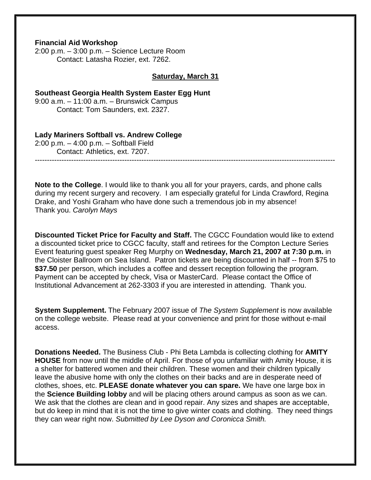#### **Financial Aid Workshop**

2:00 p.m. – 3:00 p.m. – Science Lecture Room Contact: Latasha Rozier, ext. 7262.

#### **Saturday, March 31**

#### **Southeast Georgia Health System Easter Egg Hunt**  9:00 a.m. – 11:00 a.m. – Brunswick Campus

Contact: Tom Saunders, ext. 2327.

#### **Lady Mariners Softball vs. Andrew College**

2:00 p.m. – 4:00 p.m. – Softball Field Contact: Athletics, ext. 7207.

**Note to the College**. I would like to thank you all for your prayers, cards, and phone calls during my recent surgery and recovery. I am especially grateful for Linda Crawford, Regina Drake, and Yoshi Graham who have done such a tremendous job in my absence! Thank you. *Carolyn Mays*

----------------------------------------------------------------------------------------------------------------------------

**Discounted Ticket Price for Faculty and Staff.** The CGCC Foundation would like to extend a discounted ticket price to CGCC faculty, staff and retirees for the Compton Lecture Series Event featuring guest speaker Reg Murphy on **Wednesday, March 21, 2007 at 7:30 p.m.** in the Cloister Ballroom on Sea Island. Patron tickets are being discounted in half -- from \$75 to **\$37.50** per person, which includes a coffee and dessert reception following the program. Payment can be accepted by check, Visa or MasterCard. Please contact the Office of Institutional Advancement at 262-3303 if you are interested in attending. Thank you.

**System Supplement.** The February 2007 issue of *The System Supplement* is now available on the college website. Please read at your convenience and print for those without e-mail access.

**Donations Needed.** The Business Club - Phi Beta Lambda is collecting clothing for **AMITY HOUSE** from now until the middle of April. For those of you unfamiliar with Amity House, it is a shelter for battered women and their children. These women and their children typically leave the abusive home with only the clothes on their backs and are in desperate need of clothes, shoes, etc. **PLEASE donate whatever you can spare.** We have one large box in the **Science Building lobby** and will be placing others around campus as soon as we can. We ask that the clothes are clean and in good repair. Any sizes and shapes are acceptable, but do keep in mind that it is not the time to give winter coats and clothing. They need things they can wear right now. *Submitted by Lee Dyson and Coronicca Smith.*